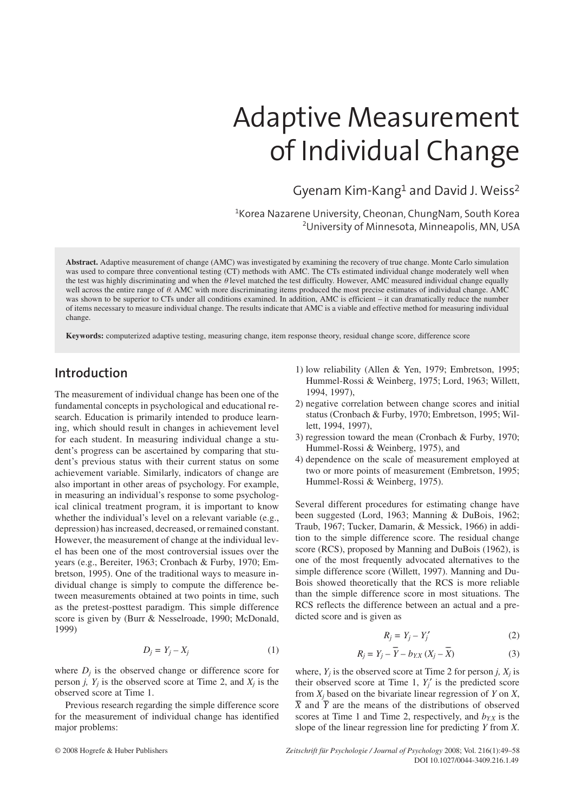# Adaptive Measurement of Individual Change

Gyenam Kim-Kang1 and David J. Weiss2

1 Korea Nazarene University, Cheonan, ChungNam, South Korea 2 University of Minnesota, Minneapolis, MN, USA

**Abstract.** Adaptive measurement of change (AMC) was investigated by examining the recovery of true change. Monte Carlo simulation was used to compare three conventional testing (CT) methods with AMC. The CTs estimated individual change moderately well when the test was highly discriminating and when the  $\theta$  level matched the test difficulty. However, AMC measured individual change equally well across the entire range of  $\theta$ . AMC with more discriminating items produced the most precise estimates of individual change. AMC was shown to be superior to CTs under all conditions examined. In addition, AMC is efficient – it can dramatically reduce the number of items necessary to measure individual change. The results indicate that AMC is a viable and effective method for measuring individual change.

**Keywords:** computerized adaptive testing, measuring change, item response theory, residual change score, difference score

# **Introduction**

The measurement of individual change has been one of the fundamental concepts in psychological and educational research. Education is primarily intended to produce learning, which should result in changes in achievement level for each student. In measuring individual change a student's progress can be ascertained by comparing that student's previous status with their current status on some achievement variable. Similarly, indicators of change are also important in other areas of psychology. For example, in measuring an individual's response to some psychological clinical treatment program, it is important to know whether the individual's level on a relevant variable (e.g., depression) has increased, decreased, or remained constant. However, the measurement of change at the individual level has been one of the most controversial issues over the years (e.g., Bereiter, 1963; Cronbach & Furby, 1970; Embretson, 1995). One of the traditional ways to measure individual change is simply to compute the difference between measurements obtained at two points in time, such as the pretest-posttest paradigm. This simple difference score is given by (Burr & Nesselroade, 1990; McDonald, 1999)

$$
D_j = Y_j - X_j \tag{1}
$$

where  $D_i$  is the observed change or difference score for person *j*,  $Y_i$  is the observed score at Time 2, and  $X_i$  is the observed score at Time 1.

Previous research regarding the simple difference score for the measurement of individual change has identified major problems:

- 1) low reliability (Allen & Yen, 1979; Embretson, 1995; Hummel-Rossi & Weinberg, 1975; Lord, 1963; Willett, 1994, 1997),
- 2) negative correlation between change scores and initial status (Cronbach & Furby, 1970; Embretson, 1995; Willett, 1994, 1997),
- 3) regression toward the mean (Cronbach & Furby, 1970; Hummel-Rossi & Weinberg, 1975), and
- 4) dependence on the scale of measurement employed at two or more points of measurement (Embretson, 1995; Hummel-Rossi & Weinberg, 1975).

Several different procedures for estimating change have been suggested (Lord, 1963; Manning & DuBois, 1962; Traub, 1967; Tucker, Damarin, & Messick, 1966) in addition to the simple difference score. The residual change score (RCS), proposed by Manning and DuBois (1962), is one of the most frequently advocated alternatives to the simple difference score (Willett, 1997). Manning and Du-Bois showed theoretically that the RCS is more reliable than the simple difference score in most situations. The RCS reflects the difference between an actual and a predicted score and is given as

$$
R_j = Y_j - Y'_j \tag{2}
$$

$$
R_j = Y_j - \overline{Y} - b_{YX} (X_j - \overline{X})
$$
 (3)

where,  $Y_i$  is the observed score at Time 2 for person *j*,  $X_i$  is their observed score at Time 1,  $Y_i'$  is the predicted score from  $X_j$  based on the bivariate linear regression of  $Y$  on  $X$ , *X* and *Y* are the means of the distributions of observed scores at Time 1 and Time 2, respectively, and  $b_{Y.X}$  is the slope of the linear regression line for predicting *Y* from *X*.

DOI 10.1027/0044-3409.216.1.49 © 2008 Hogrefe & Huber Publishers *Zeitschrift für Psychologie / Journal of Psychology* 2008; Vol. 216(1):49–58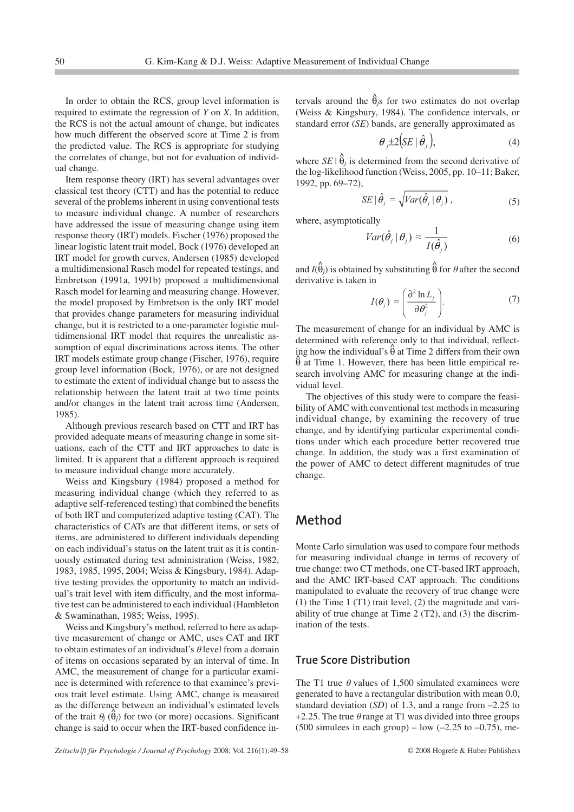In order to obtain the RCS, group level information is required to estimate the regression of *Y* on *X*. In addition, the RCS is not the actual amount of change, but indicates how much different the observed score at Time 2 is from the predicted value. The RCS is appropriate for studying the correlates of change, but not for evaluation of individual change.

Item response theory (IRT) has several advantages over classical test theory (CTT) and has the potential to reduce several of the problems inherent in using conventional tests to measure individual change. A number of researchers have addressed the issue of measuring change using item response theory (IRT) models. Fischer (1976) proposed the linear logistic latent trait model, Bock (1976) developed an IRT model for growth curves, Andersen (1985) developed a multidimensional Rasch model for repeated testings, and Embretson (1991a, 1991b) proposed a multidimensional Rasch model for learning and measuring change. However, the model proposed by Embretson is the only IRT model that provides change parameters for measuring individual change, but it is restricted to a one-parameter logistic multidimensional IRT model that requires the unrealistic assumption of equal discriminations across items. The other IRT models estimate group change (Fischer, 1976), require group level information (Bock, 1976), or are not designed to estimate the extent of individual change but to assess the relationship between the latent trait at two time points and/or changes in the latent trait across time (Andersen, 1985).

Although previous research based on CTT and IRT has provided adequate means of measuring change in some situations, each of the CTT and IRT approaches to date is limited. It is apparent that a different approach is required to measure individual change more accurately.

Weiss and Kingsbury (1984) proposed a method for measuring individual change (which they referred to as adaptive self-referenced testing) that combined the benefits of both IRT and computerized adaptive testing (CAT). The characteristics of CATs are that different items, or sets of items, are administered to different individuals depending on each individual's status on the latent trait as it is continuously estimated during test administration (Weiss, 1982, 1983, 1985, 1995, 2004; Weiss & Kingsbury, 1984). Adaptive testing provides the opportunity to match an individual's trait level with item difficulty, and the most informative test can be administered to each individual (Hambleton & Swaminathan, 1985; Weiss, 1995).

Weiss and Kingsbury's method, referred to here as adaptive measurement of change or AMC, uses CAT and IRT to obtain estimates of an individual's  $\theta$  level from a domain of items on occasions separated by an interval of time. In AMC, the measurement of change for a particular examinee is determined with reference to that examinee's previous trait level estimate. Using AMC, change is measured as the difference between an individual's estimated levels of the trait  $\theta_j$  ( $\hat{\theta}_j$ ) for two (or more) occasions. Significant change is said to occur when the IRT-based confidence in-

tervals around the  $\hat{\theta}_{j}s$  for two estimates do not overlap (Weiss & Kingsbury, 1984). The confidence intervals, or standard error (*SE*) bands, are generally approximated as

$$
\theta_j \pm 2(SE \mid \hat{\theta}_j), \tag{4}
$$

where  $SE | \hat{\theta}_j$  is determined from the second derivative of the log-likelihood function (Weiss, 2005, pp. 10–11; Baker, 1992, pp. 69–72),

$$
SE \mid \hat{\theta}_j = \sqrt{Var(\hat{\theta}_j \mid \theta_j)}, \tag{5}
$$

where, asymptotically

$$
Var(\hat{\theta}_j | \theta_j) \approx \frac{1}{I(\hat{\theta}_j)}
$$
(6)

and  $I(\hat{\theta}_j)$  is obtained by substituting  $\hat{\theta}$  for  $\theta$  after the second derivative is taken in

$$
I(\theta_j) = \left(\frac{\partial^2 \ln L_j}{\partial \theta_j^2}\right).
$$
 (7)

The measurement of change for an individual by AMC is determined with reference only to that individual, reflecting how the individual's  $\hat{\theta}$  at Time 2 differs from their own  $\theta$  at Time 1. However, there has been little empirical research involving AMC for measuring change at the individual level.

The objectives of this study were to compare the feasibility of AMC with conventional test methods in measuring individual change, by examining the recovery of true change, and by identifying particular experimental conditions under which each procedure better recovered true change. In addition, the study was a first examination of the power of AMC to detect different magnitudes of true change.

# **Method**

Monte Carlo simulation was used to compare four methods for measuring individual change in terms of recovery of true change: two CT methods, one CT-based IRT approach, and the AMC IRT-based CAT approach. The conditions manipulated to evaluate the recovery of true change were  $(1)$  the Time 1 (T1) trait level,  $(2)$  the magnitude and variability of true change at Time 2 (T2), and (3) the discrimination of the tests.

## **True Score Distribution**

The T1 true  $\theta$  values of 1,500 simulated examinees were generated to have a rectangular distribution with mean 0.0, standard deviation (*SD*) of 1.3, and a range from –2.25 to +2.25. The true  $\theta$  range at T1 was divided into three groups (500 simulees in each group) – low  $(-2.25 \text{ to } -0.75)$ , me-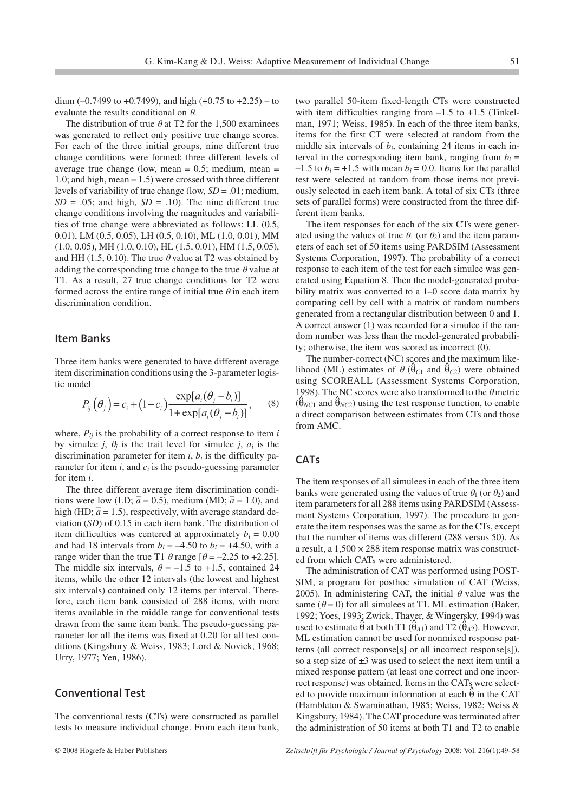dium  $(-0.7499 \text{ to } +0.7499)$ , and high  $(+0.75 \text{ to } +2.25)$  – to evaluate the results conditional on  $\theta$ .

The distribution of true  $\theta$  at T2 for the 1,500 examinees was generated to reflect only positive true change scores. For each of the three initial groups, nine different true change conditions were formed: three different levels of average true change (low, mean  $= 0.5$ ; medium, mean  $=$ 1.0; and high, mean = 1.5) were crossed with three different levels of variability of true change (low, *SD* = .01; medium,  $SD = .05$ ; and high,  $SD = .10$ ). The nine different true change conditions involving the magnitudes and variabilities of true change were abbreviated as follows: LL (0.5, 0.01), LM (0.5, 0.05), LH (0.5, 0.10), ML (1.0, 0.01), MM (1.0, 0.05), MH (1.0, 0.10), HL (1.5, 0.01), HM (1.5, 0.05), and HH (1.5, 0.10). The true  $\theta$  value at T2 was obtained by adding the corresponding true change to the true  $\theta$  value at T1. As a result, 27 true change conditions for T2 were formed across the entire range of initial true  $\theta$  in each item discrimination condition.

#### **Item Banks**

Three item banks were generated to have different average item discrimination conditions using the 3-parameter logistic model  $\sim$ 

$$
P_{ij}(\theta_j) = c_i + (1 - c_i) \frac{\exp[a_i(\theta_j - b_i)]}{1 + \exp[a_i(\theta_j - b_i)]},
$$
 (8)

where,  $P_{ij}$  is the probability of a correct response to item *i* by simulee *j*,  $\theta_j$  is the trait level for simulee *j*,  $a_i$  is the discrimination parameter for item  $i$ ,  $b_i$  is the difficulty parameter for item  $i$ , and  $c_i$  is the pseudo-guessing parameter for item *i*.

The three different average item discrimination conditions were low (LD;  $\bar{a} = 0.5$ ), medium (MD;  $\bar{a} = 1.0$ ), and high (HD;  $\bar{a}$  = 1.5), respectively, with average standard deviation (*SD*) of 0.15 in each item bank. The distribution of item difficulties was centered at approximately  $b_i = 0.00$ and had 18 intervals from  $b_i = -4.50$  to  $b_i = +4.50$ , with a range wider than the true T1  $\theta$  range  $\left[\theta = -2.25 \text{ to } +2.25\right]$ . The middle six intervals,  $\theta = -1.5$  to +1.5, contained 24 items, while the other 12 intervals (the lowest and highest six intervals) contained only 12 items per interval. Therefore, each item bank consisted of 288 items, with more items available in the middle range for conventional tests drawn from the same item bank. The pseudo-guessing parameter for all the items was fixed at 0.20 for all test conditions (Kingsbury & Weiss, 1983; Lord & Novick, 1968; Urry, 1977; Yen, 1986).

## **Conventional Test**

The conventional tests (CTs) were constructed as parallel tests to measure individual change. From each item bank, two parallel 50-item fixed-length CTs were constructed with item difficulties ranging from  $-1.5$  to  $+1.5$  (Tinkelman, 1971; Weiss, 1985). In each of the three item banks, items for the first CT were selected at random from the middle six intervals of  $b_i$ , containing 24 items in each interval in the corresponding item bank, ranging from  $b_i =$  $-1.5$  to  $b_i = +1.5$  with mean  $b_i = 0.0$ . Items for the parallel test were selected at random from those items not previously selected in each item bank. A total of six CTs (three sets of parallel forms) were constructed from the three different item banks.

The item responses for each of the six CTs were generated using the values of true  $\theta_1$  (or  $\theta_2$ ) and the item parameters of each set of 50 items using PARDSIM (Assessment Systems Corporation, 1997). The probability of a correct response to each item of the test for each simulee was generated using Equation 8. Then the model-generated probability matrix was converted to a 1–0 score data matrix by comparing cell by cell with a matrix of random numbers generated from a rectangular distribution between 0 and 1. A correct answer (1) was recorded for a simulee if the random number was less than the model-generated probability; otherwise, the item was scored as incorrect (0).

The number-correct (NC) scores and the maximum likelihood (ML) estimates of  $\theta$  ( $\hat{\theta}_{C1}$  and  $\hat{\theta}_{C2}$ ) were obtained using SCOREALL (Assessment Systems Corporation, 1998). The NC scores were also transformed to the  $\theta$  metric  $(\hat{\theta}_{NC1}$  and  $\hat{\theta}_{NC2})$  using the test response function, to enable a direct comparison between estimates from CTs and those from AMC.

## **CATs**

The item responses of all simulees in each of the three item banks were generated using the values of true  $\theta_1$  (or  $\theta_2$ ) and item parameters for all 288 items using PARDSIM (Assessment Systems Corporation, 1997). The procedure to generate the item responses was the same as for the CTs, except that the number of items was different (288 versus 50). As a result, a  $1,500 \times 288$  item response matrix was constructed from which CATs were administered.

The administration of CAT was performed using POST-SIM, a program for posthoc simulation of CAT (Weiss, 2005). In administering CAT, the initial  $\theta$  value was the same ( $\theta$  = 0) for all simulees at T1. ML estimation (Baker, 1992; Yoes, 1993; Zwick, Thayer, & Wingersky, 1994) was used to estimate  $\hat{\theta}$  at both T1 ( $\hat{\theta}_{A1}$ ) and T2 ( $\hat{\theta}_{A2}$ ). However, ML estimation cannot be used for nonmixed response patterns (all correct response[s] or all incorrect response[s]), so a step size of  $\pm 3$  was used to select the next item until a mixed response pattern (at least one correct and one incorrect response) was obtained. Items in the CATs were selected to provide maximum information at each  $\hat{\theta}$  in the CAT (Hambleton & Swaminathan, 1985; Weiss, 1982; Weiss & Kingsbury, 1984). The CAT procedure was terminated after the administration of 50 items at both T1 and T2 to enable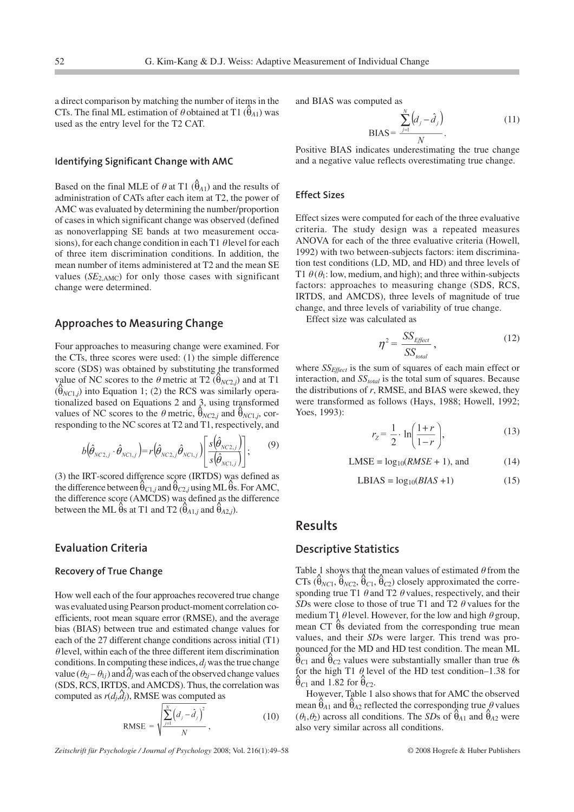a direct comparison by matching the number of items in the CTs. The final ML estimation of  $\theta$  obtained at T1 ( $\hat{\theta}_{A1}$ ) was used as the entry level for the T2 CAT.

#### **Identifying Significant Change with AMC**

Based on the final MLE of  $\theta$  at T1 ( $\hat{\theta}_{A1}$ ) and the results of administration of CATs after each item at T2, the power of AMC was evaluated by determining the number/proportion of cases in which significant change was observed (defined as nonoverlapping SE bands at two measurement occasions), for each change condition in each T1  $\theta$  level for each of three item discrimination conditions. In addition, the mean number of items administered at T2 and the mean SE values  $(SE<sub>2,AMC</sub>)$  for only those cases with significant change were determined.

## **Approaches to Measuring Change**

Four approaches to measuring change were examined. For the CTs, three scores were used: (1) the simple difference score (SDS) was obtained by substituting the transformed value of NC scores to the  $\theta$  metric at T2 ( $\theta_{NC2,j}$ ) and at T1 ( $\hat{\theta}_{NC1,j}$ ) into Equation 1; (2) the RCS was similarly operationalized based on Equations 2 and 3, using transformed values of NC scores to the  $\theta$  metric,  $\hat{\theta}_{NC2,j}$  and  $\hat{\theta}_{NC1,j}$ , corresponding to the NC scores at T2 and T1, respectively, and

$$
b(\hat{\theta}_{NC2,j} \cdot \hat{\theta}_{NC1,j}) = r(\hat{\theta}_{NC2,j} \hat{\theta}_{NC1,j}) \left[ \frac{s(\hat{\theta}_{NC2,j})}{s(\hat{\theta}_{NC1,j})} \right];
$$
 (9)

(3) the IRT-scored difference score (IRTDS) was defined as the difference between  $\hat{\theta}_{C1,j}$  and  $\hat{\theta}_{C2,j}$  using ML $\hat{\theta}$ s. For AMC, the difference score (AMCDS) was defined as the difference between the ML  $\hat{\theta}$ s at T1 and T2 ( $\hat{\theta}_{A1,j}$  and  $\hat{\theta}_{A2,j}$ ).

## **Evaluation Criteria**

#### **Recovery of True Change**

How well each of the four approaches recovered true change was evaluated using Pearson product-moment correlation coefficients, root mean square error (RMSE), and the average bias (BIAS) between true and estimated change values for each of the 27 different change conditions across initial (T1)  $\theta$  level, within each of the three different item discrimination conditions. In computing these indices,  $d_i$  was the true change value  $(\theta_{2j} - \theta_{1j})$  and  $\hat{d}_j$  was each of the observed change values (SDS, RCS, IRTDS, and AMCDS). Thus, the correlation was computed as  $r(d_j, d_j)$ , RMSE was computed as

$$
\text{RMSE} = \sqrt{\frac{\sum_{j=1}^{N} (d_j - \hat{d}_j)^2}{N}}, \tag{10}
$$

*Zeitschrift für Psychologie / Journal of Psychology* 2008; Vol. 216(1):49–58 © 2008 Hogrefe & Huber Publishers

and BIAS was computed as

$$
BIAS = \frac{\sum_{j=1}^{N} (d_j - \hat{d}_j)}{N}.
$$
 (11)

Positive BIAS indicates underestimating the true change and a negative value reflects overestimating true change.

#### **Effect Sizes**

Effect sizes were computed for each of the three evaluative criteria. The study design was a repeated measures ANOVA for each of the three evaluative criteria (Howell, 1992) with two between-subjects factors: item discrimination test conditions (LD, MD, and HD) and three levels of T1  $\theta$ ( $\theta$ <sub>1</sub>: low, medium, and high); and three within-subjects factors: approaches to measuring change (SDS, RCS, IRTDS, and AMCDS), three levels of magnitude of true change, and three levels of variability of true change.

Effect size was calculated as

$$
\eta^2 = \frac{SS_{Effect}}{SS_{total}}\,,\tag{12}
$$

where *SS<sub>Effect</sub>* is the sum of squares of each main effect or interaction, and *SS<sub>total</sub>* is the total sum of squares. Because the distributions of *r*, RMSE, and BIAS were skewed, they were transformed as follows (Hays, 1988; Howell, 1992; Yoes, 1993):

$$
r_Z = \frac{1}{2} \cdot \ln\left(\frac{1+r}{1-r}\right),\tag{13}
$$

$$
LMSE = log_{10}(RMSE + 1), and
$$
 (14)

$$
LBIAS = log_{10}(BIAS + 1)
$$
 (15)

## **Results**

#### **Descriptive Statistics**

Table 1 shows that the mean values of estimated  $\theta$  from the  $CTs$  ( $\hat{\theta}_{NC1}$ ,  $\hat{\theta}_{NC2}$ ,  $\hat{\theta}_{c1}$ ,  $\hat{\theta}_{c2}$ ) closely approximated the corresponding true T1  $\theta$  and T2  $\theta$  values, respectively, and their *SDs* were close to those of true T1 and T2  $\theta$  values for the medium T1  $\theta$  level. However, for the low and high  $\theta$  group, meand  $T_3$  devent from the corresponding true mean<br>mean CT  $\hat{\theta}$ s deviated from the corresponding true mean values, and their *SD*s were larger. This trend was pronounced for the MD and HD test condition. The mean ML  $\theta_{C1}$  and  $\theta_{C2}$  values were substantially smaller than true  $\theta_{S}$ for the high T1  $\theta$  level of the HD test condition–1.38 for  $\hat{\theta}_{C1}$  and 1.82 for  $\hat{\theta}_{C2}$ .

However, Table 1 also shows that for AMC the observed mean  $\hat{\theta}_{A1}$  and  $\hat{\theta}_{A2}$  reflected the corresponding true  $\theta$  values  $(\theta_1, \theta_2)$  across all conditions. The *SDs* of  $\hat{\theta}_{A1}$  and  $\hat{\theta}_{A2}$  were also very similar across all conditions.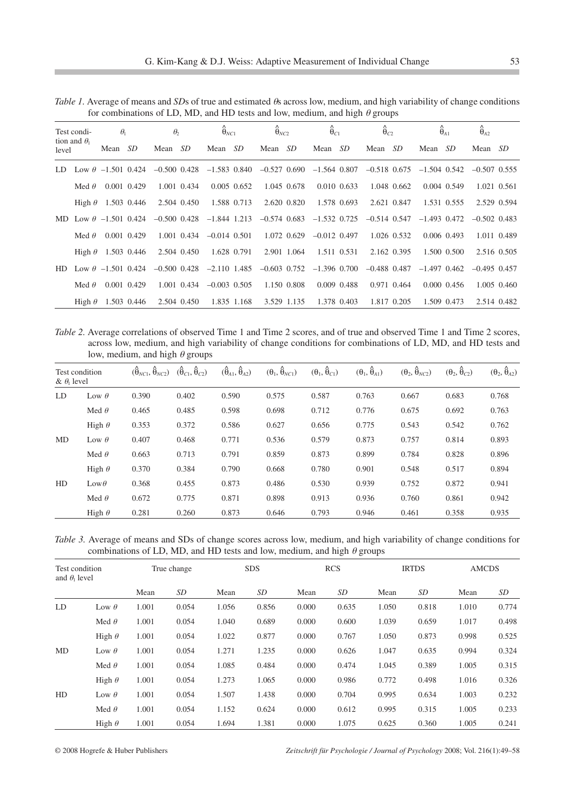|                                             | for combinations of LD, MD, and HD tests and low, medium, and high $\theta$ groups |            |                 |                                                                                                                         |             |                              |               |                                                             |             |                     |             |                     |             |                     |                  |                     |             |
|---------------------------------------------|------------------------------------------------------------------------------------|------------|-----------------|-------------------------------------------------------------------------------------------------------------------------|-------------|------------------------------|---------------|-------------------------------------------------------------|-------------|---------------------|-------------|---------------------|-------------|---------------------|------------------|---------------------|-------------|
| Test condi-<br>tion and $\theta_1$<br>level |                                                                                    | $\theta_1$ |                 | $\theta$                                                                                                                |             | $\hat{\theta}_{NC1}$         |               | $\hat{\theta}_{NC2}$                                        |             | $\hat{\theta}_{C1}$ |             | $\hat{\theta}_{C2}$ |             | $\hat{\theta}_{A1}$ |                  | $\hat{\theta}_{A2}$ |             |
|                                             |                                                                                    | Mean SD    |                 | Mean SD                                                                                                                 |             | Mean SD                      |               | Mean SD                                                     |             | Mean SD             |             | Mean SD             |             | Mean SD             |                  | Mean SD             |             |
|                                             |                                                                                    |            |                 | LD Low $\theta$ -1.501 0.424 -0.500 0.428 -1.583 0.840 -0.527 0.690 -1.564 0.807 -0.518 0.675 -1.504 0.542 -0.507 0.555 |             |                              |               |                                                             |             |                     |             |                     |             |                     |                  |                     |             |
|                                             | Med $\theta$                                                                       |            | 0.001 0.429     |                                                                                                                         | 1.001 0.434 |                              | $0.005$ 0.652 |                                                             | 1.045 0.678 |                     | 0.010 0.633 |                     | 1.048 0.662 |                     | 0.004 0.549      |                     | 1.021 0.561 |
|                                             | High $\theta$ 1.503 0.446                                                          |            |                 |                                                                                                                         | 2.504 0.450 |                              | 1.588 0.713   |                                                             | 2.620 0.820 |                     | 1.578 0.693 |                     | 2.621 0.847 |                     | 1.531 0.555      |                     | 2.529 0.594 |
|                                             |                                                                                    |            |                 | MD Low $\theta$ -1.501 0.424 -0.500 0.428 -1.844 1.213                                                                  |             |                              |               | $-0.574$ 0.683 $-1.532$ 0.725                               |             |                     |             | $-0.514$ 0.547      |             | $-1.493$ 0.472      |                  | $-0.502$ 0.483      |             |
|                                             | Med $\theta$                                                                       |            | 0.001 0.429     |                                                                                                                         |             | $1.001$ 0.434 $-0.014$ 0.501 |               |                                                             | 1.072 0.629 | $-0.012$ 0.497      |             |                     | 1.026 0.532 |                     | 0.006 0.493      |                     | 1.011 0.489 |
|                                             | High $\theta$ 1.503 0.446                                                          |            |                 |                                                                                                                         | 2.504 0.450 |                              | 1.628 0.791   |                                                             | 2.901 1.064 |                     | 1.511 0.531 |                     | 2.162 0.395 |                     | 1.500 0.500      |                     | 2.516 0.505 |
| HD                                          | Low $\theta$ -1.501 0.424                                                          |            |                 |                                                                                                                         |             |                              |               | $-0.500$ 0.428 $-2.110$ 1.485 $-0.603$ 0.752 $-1.396$ 0.700 |             |                     |             | $-0.488$ 0.487      |             | $-1.497$ 0.462      |                  | $-0.495$ 0.457      |             |
|                                             | Med $\theta$                                                                       |            | $0.001$ $0.429$ |                                                                                                                         |             | $1.001$ 0.434 $-0.003$ 0.505 |               |                                                             | 1.150 0.808 |                     | 0.009 0.488 |                     | 0.971 0.464 |                     | $0.000 \, 0.456$ |                     | 1.005 0.460 |
|                                             | High $\theta$ 1.503 0.446                                                          |            |                 |                                                                                                                         | 2.504 0.450 |                              | 1.835 1.168   |                                                             | 3.529 1.135 |                     | 1.378 0.403 |                     | 1.817 0.205 |                     | 1.509 0.473      |                     | 2.514 0.482 |

*Table 1.* Average of means and *SD*s of true and estimated  $\theta$ s across low, medium, and high variability of change conditions for combinations of LD MD and HD tests and low medium and high  $\theta$  groups of LD, MD, and HD tests and  $\ln$ 

*Table 2.* Average correlations of observed Time 1 and Time 2 scores, and of true and observed Time 1 and Time 2 scores, across low, medium, and high variability of change conditions for combinations of LD, MD, and HD tests and low, medium, and high  $\theta$  groups

| Test condition<br>$\&$ $\theta_1$ level |               | $(\hat{\theta}_{NC1}, \hat{\theta}_{NC2})$ | $(\hat{\theta}_{C1}, \hat{\theta}_{C2})$ | $(\hat{\theta}_{A1}, \hat{\theta}_{A2})$ | $(\theta_1, \hat{\theta}_{NC1})$ | $(\theta_1, \hat{\theta}_{C_1})$ | $(\theta_1, \hat{\theta}_{A1})$ | $(\theta_2, \hat{\theta}_{NC2})$ | $(\theta_2, \hat{\theta}_{C2})$ | $(\theta_2, \hat{\theta}_{A2})$ |  |
|-----------------------------------------|---------------|--------------------------------------------|------------------------------------------|------------------------------------------|----------------------------------|----------------------------------|---------------------------------|----------------------------------|---------------------------------|---------------------------------|--|
| LD                                      | Low $\theta$  | 0.390                                      | 0.402                                    | 0.590                                    | 0.575                            | 0.587                            | 0.763                           | 0.667                            | 0.683                           | 0.768                           |  |
|                                         | Med $\theta$  | 0.465                                      | 0.485                                    | 0.598                                    | 0.698                            | 0.712                            | 0.776                           | 0.675                            | 0.692                           | 0.763                           |  |
|                                         | High $\theta$ | 0.353                                      | 0.372                                    | 0.586                                    | 0.627                            | 0.656                            | 0.775                           | 0.543                            | 0.542                           | 0.762                           |  |
| MD                                      | Low $\theta$  | 0.407                                      | 0.468                                    | 0.771                                    | 0.536                            | 0.579                            | 0.873                           | 0.757                            | 0.814                           | 0.893                           |  |
|                                         | Med $\theta$  | 0.663                                      | 0.713                                    | 0.791                                    | 0.859                            | 0.873                            | 0.899                           | 0.784                            | 0.828                           | 0.896                           |  |
|                                         | High $\theta$ | 0.370                                      | 0.384                                    | 0.790                                    | 0.668                            | 0.780                            | 0.901                           | 0.548                            | 0.517                           | 0.894                           |  |
| HD                                      | $Low\theta$   | 0.368                                      | 0.455                                    | 0.873                                    | 0.486                            | 0.530                            | 0.939                           | 0.752                            | 0.872                           | 0.941                           |  |
|                                         | Med $\theta$  | 0.672                                      | 0.775                                    | 0.871                                    | 0.898                            | 0.913                            | 0.936                           | 0.760                            | 0.861                           | 0.942                           |  |
|                                         | High $\theta$ | 0.281                                      | 0.260                                    | 0.873                                    | 0.646                            | 0.793                            | 0.946                           | 0.461                            | 0.358                           | 0.935                           |  |

*Table 3.* Average of means and SDs of change scores across low, medium, and high variability of change conditions for combinations of LD, MD, and HD tests and low, medium, and high  $\theta$  groups

| Test condition<br>and $\theta_1$ level |               | True change |       | <b>SDS</b> |       | <b>RCS</b> |       | <b>IRTDS</b> |       | <b>AMCDS</b> |       |
|----------------------------------------|---------------|-------------|-------|------------|-------|------------|-------|--------------|-------|--------------|-------|
|                                        |               | Mean        | SD    | Mean       | SD    | Mean       | SD    | Mean         | SD    | Mean         | SD    |
| LD                                     | Low $\theta$  | 1.001       | 0.054 | 1.056      | 0.856 | 0.000      | 0.635 | 1.050        | 0.818 | 1.010        | 0.774 |
|                                        | Med $\theta$  | 1.001       | 0.054 | 1.040      | 0.689 | 0.000      | 0.600 | 1.039        | 0.659 | 1.017        | 0.498 |
|                                        | High $\theta$ | 1.001       | 0.054 | 1.022      | 0.877 | 0.000      | 0.767 | 1.050        | 0.873 | 0.998        | 0.525 |
| MD                                     | Low $\theta$  | 1.001       | 0.054 | 1.271      | 1.235 | 0.000      | 0.626 | 1.047        | 0.635 | 0.994        | 0.324 |
|                                        | Med $\theta$  | 1.001       | 0.054 | 1.085      | 0.484 | 0.000      | 0.474 | 1.045        | 0.389 | 1.005        | 0.315 |
|                                        | High $\theta$ | 1.001       | 0.054 | 1.273      | 1.065 | 0.000      | 0.986 | 0.772        | 0.498 | 1.016        | 0.326 |
| HD                                     | Low $\theta$  | 1.001       | 0.054 | 1.507      | 1.438 | 0.000      | 0.704 | 0.995        | 0.634 | 1.003        | 0.232 |
|                                        | Med $\theta$  | 1.001       | 0.054 | 1.152      | 0.624 | 0.000      | 0.612 | 0.995        | 0.315 | 1.005        | 0.233 |
|                                        | High $\theta$ | 1.001       | 0.054 | 1.694      | 1.381 | 0.000      | 1.075 | 0.625        | 0.360 | 1.005        | 0.241 |

© 2008 Hogrefe & Huber Publishers *Zeitschrift für Psychologie / Journal of Psychology* 2008; Vol. 216(1):49–58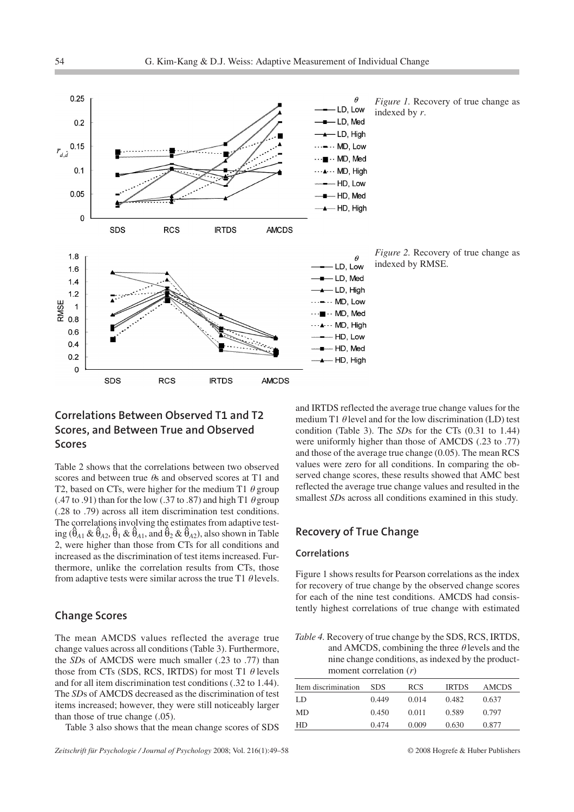

*Figure 1.* Recovery of true change as indexed by *r*.

*Figure 2.* Recovery of true change as indexed by RMSE.

# **Correlations Between Observed T1 and T2 Scores, and Between True and Observed Scores**

Table 2 shows that the correlations between two observed scores and between true  $\theta$ s and observed scores at T1 and T2, based on CTs, were higher for the medium T1  $\theta$  group (.47 to .91) than for the low (.37 to .87) and high T1  $\theta$  group (.28 to .79) across all item discrimination test conditions. The correlations involving the estimates from adaptive testing  $(\hat{\theta}_{A1} \& \hat{\theta}_{A2}, \hat{\theta}_1 \& \hat{\theta}_{A1}, \text{ and } \hat{\theta}_2 \& \hat{\theta}_{A2})$ , also shown in Table 2, were higher than those from CTs for all conditions and increased as the discrimination of test items increased. Furthermore, unlike the correlation results from CTs, those from adaptive tests were similar across the true T1  $\theta$  levels.

## **Change Scores**

The mean AMCDS values reflected the average true change values across all conditions (Table 3). Furthermore, the *SD*s of AMCDS were much smaller (.23 to .77) than those from CTs (SDS, RCS, IRTDS) for most T1  $\theta$  levels and for all item discrimination test conditions (.32 to 1.44). The *SD*s of AMCDS decreased as the discrimination of test items increased; however, they were still noticeably larger than those of true change (.05).

Table 3 also shows that the mean change scores of SDS

*Zeitschrift für Psychologie / Journal of Psychology* 2008; Vol. 216(1):49–58 © 2008 Hogrefe & Huber Publishers

and IRTDS reflected the average true change values for the medium T1  $\theta$  level and for the low discrimination (LD) test condition (Table 3). The *SD*s for the CTs (0.31 to 1.44) were uniformly higher than those of AMCDS (.23 to .77) and those of the average true change (0.05). The mean RCS values were zero for all conditions. In comparing the observed change scores, these results showed that AMC best reflected the average true change values and resulted in the smallest *SD*s across all conditions examined in this study.

## **Recovery of True Change**

## **Correlations**

Figure 1 shows results for Pearson correlations as the index for recovery of true change by the observed change scores for each of the nine test conditions. AMCDS had consistently highest correlations of true change with estimated

*Table 4.* Recovery of true change by the SDS, RCS, IRTDS, and AMCDS, combining the three  $\theta$  levels and the nine change conditions, as indexed by the productmoment correlation (*r*)

| Item discrimination | <b>SDS</b> | <b>RCS</b> | <b>IRTDS</b> | AMCDS |
|---------------------|------------|------------|--------------|-------|
| LD                  | 0.449      | 0.014      | 0.482        | 0.637 |
| MD                  | 0.450      | 0.011      | 0.589        | 0.797 |
| HD                  | 0.474      | 0.009      | 0.630        | 0.877 |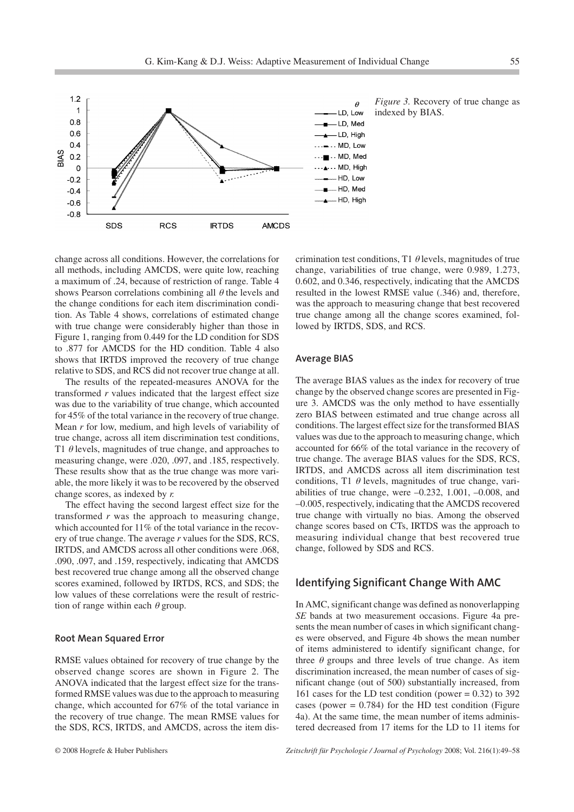

*Figure 3.* Recovery of true change as indexed by BIAS.

change across all conditions. However, the correlations for all methods, including AMCDS, were quite low, reaching a maximum of .24, because of restriction of range. Table 4 shows Pearson correlations combining all  $\theta$  the levels and the change conditions for each item discrimination condition. As Table 4 shows, correlations of estimated change with true change were considerably higher than those in Figure 1, ranging from 0.449 for the LD condition for SDS to .877 for AMCDS for the HD condition. Table 4 also shows that IRTDS improved the recovery of true change relative to SDS, and RCS did not recover true change at all.

The results of the repeated-measures ANOVA for the transformed *r* values indicated that the largest effect size was due to the variability of true change, which accounted for 45% of the total variance in the recovery of true change. Mean *r* for low, medium, and high levels of variability of true change, across all item discrimination test conditions, T1  $\theta$  levels, magnitudes of true change, and approaches to measuring change, were .020, .097, and .185, respectively. These results show that as the true change was more variable, the more likely it was to be recovered by the observed change scores, as indexed by *r.*

The effect having the second largest effect size for the transformed *r* was the approach to measuring change, which accounted for 11% of the total variance in the recovery of true change. The average *r* values for the SDS, RCS, IRTDS, and AMCDS across all other conditions were .068, .090, .097, and .159, respectively, indicating that AMCDS best recovered true change among all the observed change scores examined, followed by IRTDS, RCS, and SDS; the low values of these correlations were the result of restriction of range within each  $\theta$  group.

#### **Root Mean Squared Error**

RMSE values obtained for recovery of true change by the observed change scores are shown in Figure 2. The ANOVA indicated that the largest effect size for the transformed RMSE values was due to the approach to measuring change, which accounted for 67% of the total variance in the recovery of true change. The mean RMSE values for the SDS, RCS, IRTDS, and AMCDS, across the item discrimination test conditions, T1  $\theta$  levels, magnitudes of true change, variabilities of true change, were 0.989, 1.273, 0.602, and 0.346, respectively, indicating that the AMCDS resulted in the lowest RMSE value (.346) and, therefore, was the approach to measuring change that best recovered true change among all the change scores examined, followed by IRTDS, SDS, and RCS.

#### **Average BIAS**

The average BIAS values as the index for recovery of true change by the observed change scores are presented in Figure 3. AMCDS was the only method to have essentially zero BIAS between estimated and true change across all conditions. The largest effect size for the transformed BIAS values was due to the approach to measuring change, which accounted for 66% of the total variance in the recovery of true change. The average BIAS values for the SDS, RCS, IRTDS, and AMCDS across all item discrimination test conditions, T1  $\theta$  levels, magnitudes of true change, variabilities of true change, were  $-0.232$ , 1.001,  $-0.008$ , and –0.005, respectively, indicating that the AMCDS recovered true change with virtually no bias. Among the observed change scores based on CTs, IRTDS was the approach to measuring individual change that best recovered true change, followed by SDS and RCS.

## **Identifying Significant Change With AMC**

In AMC, significant change was defined as nonoverlapping *SE* bands at two measurement occasions. Figure 4a presents the mean number of cases in which significant changes were observed, and Figure 4b shows the mean number of items administered to identify significant change, for three  $\theta$  groups and three levels of true change. As item discrimination increased, the mean number of cases of significant change (out of 500) substantially increased, from 161 cases for the LD test condition (power  $= 0.32$ ) to 392 cases (power  $= 0.784$ ) for the HD test condition (Figure 4a). At the same time, the mean number of items administered decreased from 17 items for the LD to 11 items for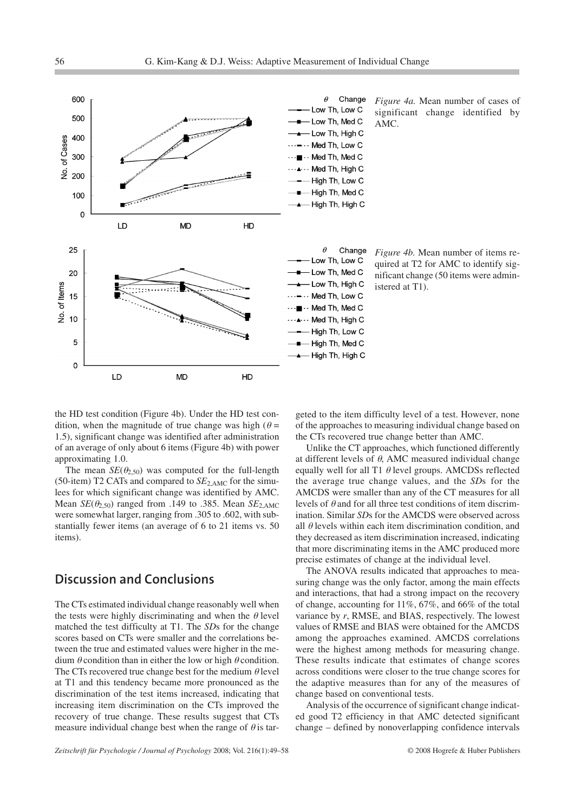



*Figure 4b.* Mean number of items required at T2 for AMC to identify significant change (50 items were administered at T1).

the HD test condition (Figure 4b). Under the HD test condition, when the magnitude of true change was high ( $\theta$  = 1.5), significant change was identified after administration of an average of only about 6 items (Figure 4b) with power approximating 1.0.

The mean  $SE(\theta_{2,50})$  was computed for the full-length (50-item) T2 CATs and compared to *SE*2,AMC for the simulees for which significant change was identified by AMC. Mean  $SE(\theta_{2,50})$  ranged from .149 to .385. Mean  $SE_{2,AMC}$ were somewhat larger, ranging from .305 to .602, with substantially fewer items (an average of 6 to 21 items vs. 50 items).

# **Discussion and Conclusions**

The CTs estimated individual change reasonably well when the tests were highly discriminating and when the  $\theta$  level matched the test difficulty at T1. The *SD*s for the change scores based on CTs were smaller and the correlations between the true and estimated values were higher in the medium  $\theta$  condition than in either the low or high  $\theta$  condition. The CTs recovered true change best for the medium  $\theta$  level at T1 and this tendency became more pronounced as the discrimination of the test items increased, indicating that increasing item discrimination on the CTs improved the recovery of true change. These results suggest that CTs measure individual change best when the range of  $\theta$  is targeted to the item difficulty level of a test. However, none of the approaches to measuring individual change based on the CTs recovered true change better than AMC.

Unlike the CT approaches, which functioned differently at different levels of  $\theta$ , AMC measured individual change equally well for all T1  $\theta$  level groups. AMCDSs reflected the average true change values, and the *SD*s for the AMCDS were smaller than any of the CT measures for all levels of  $\theta$  and for all three test conditions of item discrimination. Similar *SD*s for the AMCDS were observed across all  $\theta$  levels within each item discrimination condition, and they decreased as item discrimination increased, indicating that more discriminating items in the AMC produced more precise estimates of change at the individual level.

The ANOVA results indicated that approaches to measuring change was the only factor, among the main effects and interactions, that had a strong impact on the recovery of change, accounting for 11%, 67%, and 66% of the total variance by *r*, RMSE, and BIAS, respectively. The lowest values of RMSE and BIAS were obtained for the AMCDS among the approaches examined. AMCDS correlations were the highest among methods for measuring change. These results indicate that estimates of change scores across conditions were closer to the true change scores for the adaptive measures than for any of the measures of change based on conventional tests.

Analysis of the occurrence of significant change indicated good T2 efficiency in that AMC detected significant change – defined by nonoverlapping confidence intervals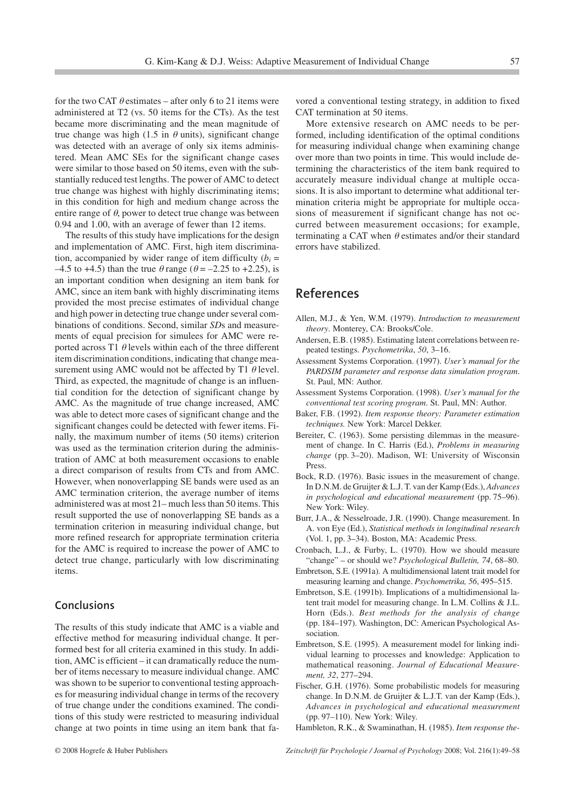for the two CAT  $\theta$  estimates – after only 6 to 21 items were administered at T2 (vs. 50 items for the CTs). As the test became more discriminating and the mean magnitude of true change was high (1.5 in  $\theta$  units), significant change was detected with an average of only six items administered. Mean AMC SEs for the significant change cases were similar to those based on 50 items, even with the substantially reduced test lengths. The power of AMC to detect true change was highest with highly discriminating items; in this condition for high and medium change across the entire range of  $\theta$ , power to detect true change was between 0.94 and 1.00, with an average of fewer than 12 items.

The results of this study have implications for the design and implementation of AMC. First, high item discrimination, accompanied by wider range of item difficulty  $(b_i =$ –4.5 to +4.5) than the true  $\theta$  range ( $\theta$  = –2.25 to +2.25), is an important condition when designing an item bank for AMC, since an item bank with highly discriminating items provided the most precise estimates of individual change and high power in detecting true change under several combinations of conditions. Second, similar *SD*s and measurements of equal precision for simulees for AMC were reported across T1  $\theta$  levels within each of the three different item discrimination conditions, indicating that change measurement using AMC would not be affected by T1  $\theta$  level. Third, as expected, the magnitude of change is an influential condition for the detection of significant change by AMC. As the magnitude of true change increased, AMC was able to detect more cases of significant change and the significant changes could be detected with fewer items. Finally, the maximum number of items (50 items) criterion was used as the termination criterion during the administration of AMC at both measurement occasions to enable a direct comparison of results from CTs and from AMC. However, when nonoverlapping SE bands were used as an AMC termination criterion, the average number of items administered was at most 21– much less than 50 items. This result supported the use of nonoverlapping SE bands as a termination criterion in measuring individual change, but more refined research for appropriate termination criteria for the AMC is required to increase the power of AMC to detect true change, particularly with low discriminating items.

## **Conclusions**

The results of this study indicate that AMC is a viable and effective method for measuring individual change. It performed best for all criteria examined in this study. In addition, AMC is efficient – it can dramatically reduce the number of items necessary to measure individual change. AMC was shown to be superior to conventional testing approaches for measuring individual change in terms of the recovery of true change under the conditions examined. The conditions of this study were restricted to measuring individual change at two points in time using an item bank that favored a conventional testing strategy, in addition to fixed CAT termination at 50 items.

More extensive research on AMC needs to be performed, including identification of the optimal conditions for measuring individual change when examining change over more than two points in time. This would include determining the characteristics of the item bank required to accurately measure individual change at multiple occasions. It is also important to determine what additional termination criteria might be appropriate for multiple occasions of measurement if significant change has not occurred between measurement occasions; for example, terminating a CAT when  $\theta$  estimates and/or their standard errors have stabilized.

# **References**

- Allen, M.J., & Yen, W.M. (1979). *Introduction to measurement theory*. Monterey, CA: Brooks/Cole.
- Andersen, E.B. (1985). Estimating latent correlations between repeated testings. *Psychometrika*, *50*, 3–16.
- Assessment Systems Corporation. (1997). *User's manual for the PARDSIM parameter and response data simulation program*. St. Paul, MN: Author.
- Assessment Systems Corporation. (1998). *User's manual for the conventional test scoring program*. St. Paul, MN: Author.
- Baker, F.B. (1992). *Item response theory: Parameter estimation techniques.* New York: Marcel Dekker.
- Bereiter, C. (1963). Some persisting dilemmas in the measurement of change. In C. Harris (Ed.), *Problems in measuring change* (pp. 3–20). Madison, WI: University of Wisconsin Press.
- Bock, R.D. (1976). Basic issues in the measurement of change. In D.N.M. de Gruijter & L.J. T. van der Kamp (Eds.), *Advances in psychological and educational measurement* (pp. 75–96). New York: Wiley.
- Burr, J.A., & Nesselroade, J.R. (1990). Change measurement. In A. von Eye (Ed.), *Statistical methods in longitudinal research* (Vol. 1, pp. 3–34). Boston, MA: Academic Press.
- Cronbach, L.J., & Furby, L. (1970). How we should measure "change" – or should we? *Psychological Bulletin, 74*, 68–80.
- Embretson, S.E. (1991a). A multidimensional latent trait model for measuring learning and change. *Psychometrika, 56*, 495–515.
- Embretson, S.E. (1991b). Implications of a multidimensional latent trait model for measuring change. In L.M. Collins & J.L. Horn (Eds.). *Best methods for the analysis of change* (pp. 184–197). Washington, DC: American Psychological Association.
- Embretson, S.E. (1995). A measurement model for linking individual learning to processes and knowledge: Application to mathematical reasoning. *Journal of Educational Measurement, 32*, 277–294.
- Fischer, G.H. (1976). Some probabilistic models for measuring change. In D.N.M. de Gruijter & L.J.T. van der Kamp (Eds.), *Advances in psychological and educational measurement* (pp. 97–110). New York: Wiley.
- Hambleton, R.K., & Swaminathan, H. (1985). *Item response the-*

© 2008 Hogrefe & Huber Publishers *Zeitschrift für Psychologie / Journal of Psychology* 2008; Vol. 216(1):49–58